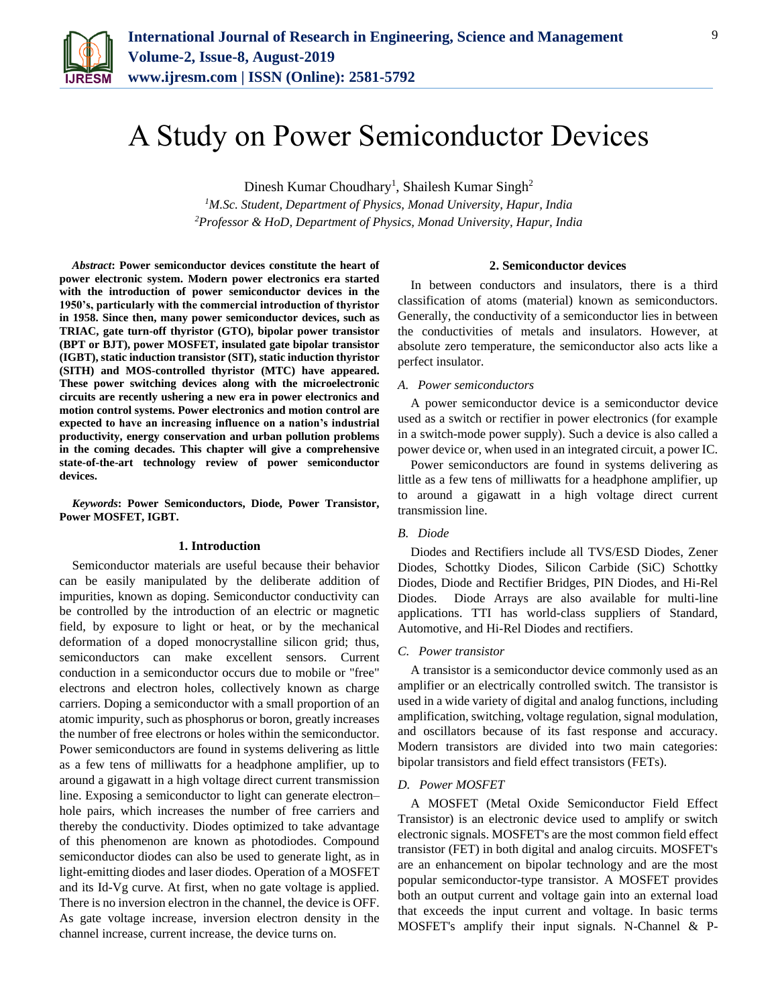

# A Study on Power Semiconductor Devices

Dinesh Kumar Choudhary<sup>1</sup>, Shailesh Kumar Singh<sup>2</sup>

*<sup>1</sup>M.Sc. Student, Department of Physics, Monad University, Hapur, India 2Professor & HoD, Department of Physics, Monad University, Hapur, India*

*Abstract***: Power semiconductor devices constitute the heart of power electronic system. Modern power electronics era started with the introduction of power semiconductor devices in the 1950's, particularly with the commercial introduction of thyristor in 1958. Since then, many power semiconductor devices, such as TRIAC, gate turn-off thyristor (GTO), bipolar power transistor (BPT or BJT), power MOSFET, insulated gate bipolar transistor (IGBT), static induction transistor (SIT), static induction thyristor (SITH) and MOS-controlled thyristor (MTC) have appeared. These power switching devices along with the microelectronic circuits are recently ushering a new era in power electronics and motion control systems. Power electronics and motion control are expected to have an increasing influence on a nation's industrial productivity, energy conservation and urban pollution problems in the coming decades. This chapter will give a comprehensive state-of-the-art technology review of power semiconductor devices.**

*Keywords***: Power Semiconductors, Diode, Power Transistor, Power MOSFET, IGBT.**

#### **1. Introduction**

Semiconductor materials are useful because their behavior can be easily manipulated by the deliberate addition of impurities, known as doping. Semiconductor conductivity can be controlled by the introduction of an electric or magnetic field, by exposure to light or heat, or by the mechanical deformation of a doped monocrystalline silicon grid; thus, semiconductors can make excellent sensors. Current conduction in a semiconductor occurs due to mobile or "free" electrons and electron holes, collectively known as charge carriers. Doping a semiconductor with a small proportion of an atomic impurity, such as phosphorus or boron, greatly increases the number of free electrons or holes within the semiconductor. Power semiconductors are found in systems delivering as little as a few tens of milliwatts for a headphone amplifier, up to around a gigawatt in a high voltage direct current transmission line. Exposing a semiconductor to light can generate electron– hole pairs, which increases the number of free carriers and thereby the conductivity. Diodes optimized to take advantage of this phenomenon are known as photodiodes. Compound semiconductor diodes can also be used to generate light, as in light-emitting diodes and laser diodes. Operation of a MOSFET and its Id-Vg curve. At first, when no gate voltage is applied. There is no inversion electron in the channel, the device is OFF. As gate voltage increase, inversion electron density in the channel increase, current increase, the device turns on.

#### **2. Semiconductor devices**

In between conductors and insulators, there is a third classification of atoms (material) known as semiconductors. Generally, the conductivity of a semiconductor lies in between the conductivities of metals and insulators. However, at absolute zero temperature, the semiconductor also acts like a perfect insulator.

#### *A. Power semiconductors*

A power semiconductor device is a semiconductor device used as a switch or rectifier in power electronics (for example in a switch-mode power supply). Such a device is also called a power device or, when used in an integrated circuit, a power IC.

Power semiconductors are found in systems delivering as little as a few tens of milliwatts for a headphone amplifier, up to around a gigawatt in a high voltage direct current transmission line.

# *B. Diode*

Diodes and Rectifiers include all TVS/ESD Diodes, Zener Diodes, Schottky Diodes, Silicon Carbide (SiC) Schottky Diodes, Diode and Rectifier Bridges, PIN Diodes, and Hi-Rel Diodes. Diode Arrays are also available for multi-line applications. TTI has world-class suppliers of Standard, Automotive, and Hi-Rel Diodes and rectifiers.

## *C. Power transistor*

A transistor is a semiconductor device commonly used as an amplifier or an electrically controlled switch. The transistor is used in a wide variety of digital and analog functions, including amplification, switching, voltage regulation, signal modulation, and oscillators because of its fast response and accuracy. Modern transistors are divided into two main categories: bipolar transistors and field effect transistors (FETs).

### *D. Power MOSFET*

A MOSFET (Metal Oxide Semiconductor Field Effect Transistor) is an electronic device used to amplify or switch electronic signals. MOSFET's are the most common field effect transistor (FET) in both digital and analog circuits. MOSFET's are an enhancement on bipolar technology and are the most popular semiconductor-type transistor. A MOSFET provides both an output current and voltage gain into an external load that exceeds the input current and voltage. In basic terms MOSFET's amplify their input signals. N-Channel & P-